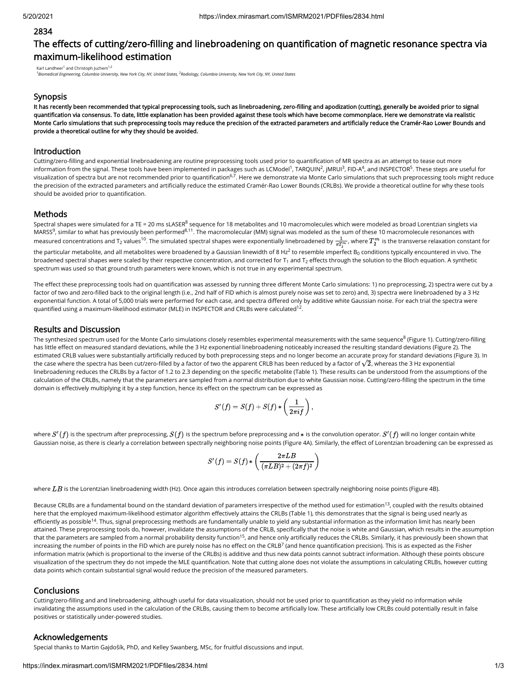## 2834

# The effects of cutting/zero-filling and linebroadening on quantification of magnetic resonance spectra via maximum-likelihood estimation

Karl Landheer<sup>1</sup> and Christoph Juchem<sup>1,2</sup>

<sup>1</sup> Biomedical Engineering, Columbia University, New York City, NY, United States, <sup>2</sup>Radiology, Columbia University, New York City, NY, United States

## Synopsis

It has recently been recommended that typical preprocessing tools, such as linebroadening, zero-filling and apodization (cutting), generally be avoided prior to signal quantification via consensus. To date, little explanation has been provided against these tools which have become commonplace. Here we demonstrate via realistic Monte Carlo simulations that such preprocessing tools may reduce the precision of the extracted parameters and artificially reduce the Cramér-Rao Lower Bounds and provide a theoretical outline for why they should be avoided.

## Introduction

Cutting/zero-filling and exponential linebroadening are routine preprocessing tools used prior to quantification of MR spectra as an attempt to tease out more information from the signal. These tools have been implemented in packages such as LCModel<sup>1</sup>, TARQUIN<sup>2</sup>, JMRUI<sup>3</sup>, FID-A<sup>4</sup>, and INSPECTOR<sup>5</sup>. These steps are useful for visualization of spectra but are not recommended prior to quantification<sup>6,7</sup>. Here we demonstrate via Monte Carlo simulations that such preprocessing tools might reduce the precision of the extracted parameters and articially reduce the estimated Cramér-Rao Lower Bounds (CRLBs). We provide a theoretical outline for why these tools should be avoided prior to quantification.

## Methods

Spectral shapes were simulated for a TE = 20 ms sLASER<sup>8</sup> sequence for 18 metabolites and 10 macromolecules which were modeled as broad Lorentzian singlets via MARSS $^9$ , similar to what has previously been performed $^{8,11}$ . The macromolecular (MM) signal was modeled as the sum of these 10 macromolecule resonances with measured concentrations and T $_2$  values<sup>10</sup>. The simulated spectral shapes were exponentially linebroadened by  $\frac{1}{\pi T_2^m}$ , where  $T_2^m$  is the transverse relaxation constant for the particular metabolite, and all metabolites were broadened by a Gaussian linewidth of 8 Hz $^2$  to resemble imperfect B $_0$  conditions typically encountered in vivo. The

broadened spectral shapes were scaled by their respective concentration, and corrected for T<sub>1</sub> and T<sub>2</sub> effects through the solution to the Bloch equation. A synthetic spectrum was used so that ground truth parameters were known, which is not true in any experimental spectrum.

The effect these preprocessing tools had on quantification was assessed by running three different Monte Carlo simulations: 1) no preprocessing, 2) spectra were cut by a factor of two and zero-filled back to the original length (i.e., 2nd half of FID which is almost purely noise was set to zero) and, 3) spectra were linebroadened by a 3 Hz exponential function. A total of 5,000 trials were performed for each case, and spectra differed only by additive white Gaussian noise. For each trial the spectra were quantified using a maximum-likelihood estimator (MLE) in INSPECTOR and CRLBs were calculated  $^{12}$ .

## Results and Discussion

The synthesized spectrum used for the Monte Carlo simulations closely resembles experimental measurements with the same sequence $^8$  (Figure 1). Cutting/zero-filling has little effect on measured standard deviations, while the 3 Hz exponential linebroadening noticeably increased the resulting standard deviations (Figure 2). The estimated CRLB values were substantially articially reduced by both preprocessing steps and no longer become an accurate proxy for standard deviations (Figure 3). In esumated CRLB values were substantially artificially reduced by both preprocessing steps and no longer become an accurate proxy for standard deviations (<br>the case where the spectra has been cut/zero-filled by a factor of linebroadening reduces the CRLBs by a factor of 1.2 to 2.3 depending on the specific metabolite (Table 1). These results can be understood from the assumptions of the calculation of the CRLBs, namely that the parameters are sampled from a normal distribution due to white Gaussian noise. Cutting/zero-filling the spectrum in the time domain is effectively multiplying it by a step function, hence its effect on the spectrum can be expressed as

$$
S'(f)=S(f)+S(f)*\left(\frac{1}{2\pi if}\right),
$$

where  $S'(f)$  is the spectrum after preprocessing,  $S(f)$  is the spectrum before preprocessing and  $\ast$  is the convolution operator.  $S'(f)$  will no longer contain white Gaussian noise, as there is clearly a correlation between spectrally neighboring noise points (Figure 4A). Similarly, the effect of Lorentzian broadening can be expressed as

$$
S'(f)=S(f)*\left(\frac{2\pi LB}{(\pi LB)^2+(2\pi f)^2}\right)
$$

where  $LB$  is the Lorentzian linebroadening width (Hz). Once again this introduces correlation between spectrally neighboring noise points (Figure 4B).

Because CRLBs are a fundamental bound on the standard deviation of parameters irrespective of the method used for estimation<sup>13</sup>, coupled with the results obtained here that the employed maximum-likelihood estimator algorithm effectively attains the CRLBs (Table 1), this demonstrates that the signal is being used nearly as efficiently as possible<sup>14</sup>. Thus, signal preprocessing methods are fundamentally unable to yield any substantial information as the information limit has nearly been attained. These preprocessing tools do, however, invalidate the assumptions of the CRLB, specifically that the noise is white and Gaussian, which results in the assumption that the parameters are sampled from a normal probability density function<sup>15</sup>, and hence only artificially reduces the CRLBs. Similarly, it has previously been shown that increasing the number of points in the FID which are purely noise has no effect on the CRLB<sup>7</sup> (and hence quantification precision). This is as expected as the Fisher information matrix (which is proportional to the inverse of the CRLBs) is additive and thus new data points cannot subtract information. Although these points obscure visualization of the spectrum they do not impede the MLE quantification. Note that cutting alone does not violate the assumptions in calculating CRLBs, however cutting data points which contain substantial signal would reduce the precision of the measured parameters.

## **Conclusions**

Cutting/zero-filling and and linebroadening, although useful for data visualization, should not be used prior to quantification as they yield no information while invalidating the assumptions used in the calculation of the CRLBs, causing them to become artificially low. These artificially low CRLBs could potentially result in false positives or statistically under-powered studies.

#### Acknowledgements

Special thanks to Martin Gajdošík, PhD, and Kelley Swanberg, MSc, for fruitful discussions and input.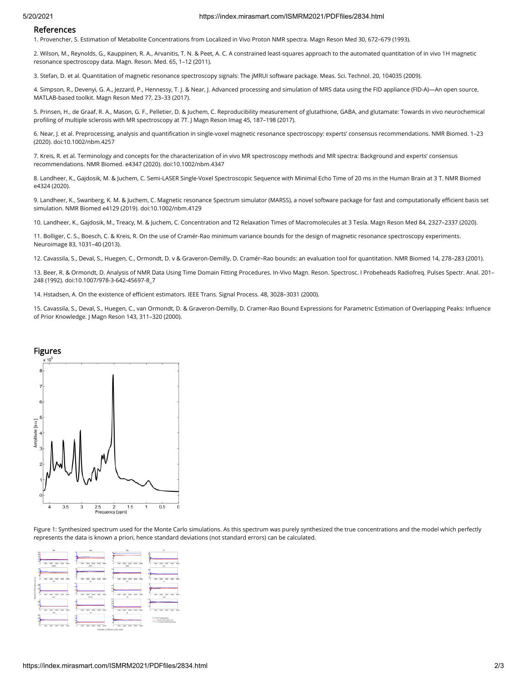## References

1. Provencher, S. Estimation of Metabolite Concentrations from Localized in Vivo Proton NMR spectra. Magn Reson Med 30, 672–679 (1993).

2. Wilson, M., Reynolds, G., Kauppinen, R. A., Arvanitis, T. N. & Peet, A. C. A constrained least-squares approach to the automated quantitation of in vivo 1H magnetic resonance spectroscopy data. Magn. Reson. Med. 65, 1–12 (2011).

3. Stefan, D. et al. Quantitation of magnetic resonance spectroscopy signals: The jMRUI software package. Meas. Sci. Technol. 20, 104035 (2009).

4. Simpson, R., Devenyi, G. A., Jezzard, P., Hennessy, T. J. & Near, J. Advanced processing and simulation of MRS data using the FID appliance (FID-A)—An open source, MATLAB-based toolkit. Magn Reson Med 77, 23–33 (2017).

5. Prinsen, H., de Graaf, R. A., Mason, G. F., Pelletier, D. & Juchem, C. Reproducibility measurement of glutathione, GABA, and glutamate: Towards in vivo neurochemical profiling of multiple sclerosis with MR spectroscopy at 7T. J Magn Reson Imag 45, 187-198 (2017).

6. Near, J. et al. Preprocessing, analysis and quantification in single-voxel magnetic resonance spectroscopy: experts' consensus recommendations. NMR Biomed. 1-23 (2020). doi:10.1002/nbm.4257

7. Kreis, R. et al. Terminology and concepts for the characterization of in vivo MR spectroscopy methods and MR spectra: Background and experts' consensus recommendations. NMR Biomed. e4347 (2020). doi:10.1002/nbm.4347

8. Landheer, K., Gajdosik, M. & Juchem, C. Semi-LASER Single-Voxel Spectroscopic Sequence with Minimal Echo Time of 20 ms in the Human Brain at 3 T. NMR Biomed e4324 (2020).

9. Landheer, K., Swanberg, K. M. & Juchem, C. Magnetic resonance Spectrum simulator (MARSS), a novel software package for fast and computationally efficient basis set simulation. NMR Biomed e4129 (2019). doi:10.1002/nbm.4129

10. Landheer, K., Gajdosik, M., Treacy, M. & Juchem, C. Concentration and T2 Relaxation Times of Macromolecules at 3 Tesla. Magn Reson Med 84, 2327–2337 (2020).

11. Bolliger, C. S., Boesch, C. & Kreis, R. On the use of Cramér-Rao minimum variance bounds for the design of magnetic resonance spectroscopy experiments. Neuroimage 83, 1031–40 (2013).

12. Cavassila, S., Deval, S., Huegen, C., Ormondt, D. v & Graveron-Demilly, D. Cramér–Rao bounds: an evaluation tool for quantitation. NMR Biomed 14, 278–283 (2001).

13. Beer, R. & Ormondt, D. Analysis of NMR Data Using Time Domain Fitting Procedures. In-Vivo Magn. Reson. Spectrosc. I Probeheads Radiofreq. Pulses Spectr. Anal. 201– 248 (1992). doi:10.1007/978-3-642-45697-8\_7

14. Hstadsen, A. On the existence of efficient estimators. IEEE Trans. Signal Process. 48, 3028-3031 (2000).

15. Cavassila, S., Deval, S., Huegen, C., van Ormondt, D. & Graveron-Demilly, D. Cramer-Rao Bound Expressions for Parametric Estimation of Overlapping Peaks: Inuence of Prior Knowledge. J Magn Reson 143, 311–320 (2000).



Figure 1: Synthesized spectrum used for the Monte Carlo simulations. As this spectrum was purely synthesized the true concentrations and the model which perfectly represents the data is known a priori, hence standard deviations (not standard errors) can be calculated.